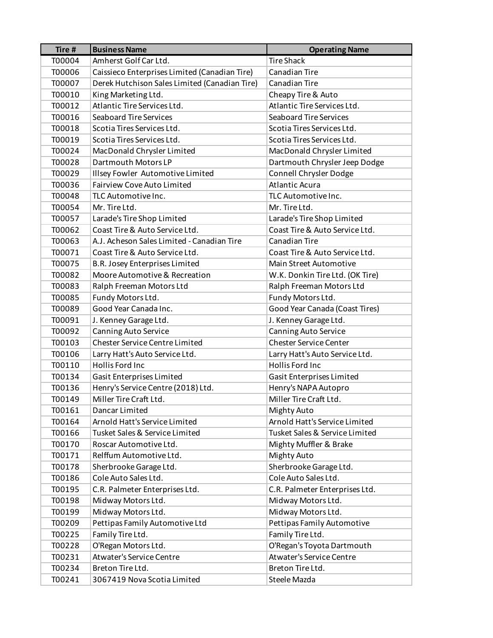| Tire # | <b>Business Name</b>                          | <b>Operating Name</b>           |
|--------|-----------------------------------------------|---------------------------------|
| T00004 | Amherst Golf Car Ltd.                         | <b>Tire Shack</b>               |
| T00006 | Caissieco Enterprises Limited (Canadian Tire) | Canadian Tire                   |
| T00007 | Derek Hutchison Sales Limited (Canadian Tire) | Canadian Tire                   |
| T00010 | King Marketing Ltd.                           | Cheapy Tire & Auto              |
| T00012 | Atlantic Tire Services Ltd.                   | Atlantic Tire Services Ltd.     |
| T00016 | <b>Seaboard Tire Services</b>                 | <b>Seaboard Tire Services</b>   |
| T00018 | Scotia Tires Services Ltd.                    | Scotia Tires Services Ltd.      |
| T00019 | Scotia Tires Services Ltd.                    | Scotia Tires Services Ltd.      |
| T00024 | MacDonald Chrysler Limited                    | MacDonald Chrysler Limited      |
| T00028 | Dartmouth Motors LP                           | Dartmouth Chrysler Jeep Dodge   |
| T00029 | Illsey Fowler Automotive Limited              | Connell Chrysler Dodge          |
| T00036 | <b>Fairview Cove Auto Limited</b>             | <b>Atlantic Acura</b>           |
| T00048 | TLC Automotive Inc.                           | TLC Automotive Inc.             |
| T00054 | Mr. Tire Ltd.                                 | Mr. Tire Ltd.                   |
| T00057 | Larade's Tire Shop Limited                    | Larade's Tire Shop Limited      |
| T00062 | Coast Tire & Auto Service Ltd.                | Coast Tire & Auto Service Ltd.  |
| T00063 | A.J. Acheson Sales Limited - Canadian Tire    | Canadian Tire                   |
| T00071 | Coast Tire & Auto Service Ltd.                | Coast Tire & Auto Service Ltd.  |
| T00075 | B.R. Josey Enterprises Limited                | Main Street Automotive          |
| T00082 | Moore Automotive & Recreation                 | W.K. Donkin Tire Ltd. (OK Tire) |
| T00083 | Ralph Freeman Motors Ltd                      | Ralph Freeman Motors Ltd        |
| T00085 | Fundy Motors Ltd.                             | Fundy Motors Ltd.               |
| T00089 | Good Year Canada Inc.                         | Good Year Canada (Coast Tires)  |
| T00091 | J. Kenney Garage Ltd.                         | J. Kenney Garage Ltd.           |
| T00092 | <b>Canning Auto Service</b>                   | Canning Auto Service            |
| T00103 | <b>Chester Service Centre Limited</b>         | <b>Chester Service Center</b>   |
| T00106 | Larry Hatt's Auto Service Ltd.                | Larry Hatt's Auto Service Ltd.  |
| T00110 | Hollis Ford Inc                               | Hollis Ford Inc                 |
| T00134 | Gasit Enterprises Limited                     | Gasit Enterprises Limited       |
| T00136 | Henry's Service Centre (2018) Ltd.            | Henry's NAPA Autopro            |
| T00149 | Miller Tire Craft Ltd.                        | Miller Tire Craft Ltd.          |
| T00161 | Dancar Limited                                | Mighty Auto                     |
| T00164 | Arnold Hatt's Service Limited                 | Arnold Hatt's Service Limited   |
| T00166 | Tusket Sales & Service Limited                | Tusket Sales & Service Limited  |
| T00170 | Roscar Automotive Ltd.                        | Mighty Muffler & Brake          |
| T00171 | Relffum Automotive Ltd.                       | Mighty Auto                     |
| T00178 | Sherbrooke Garage Ltd.                        | Sherbrooke Garage Ltd.          |
| T00186 | Cole Auto Sales Ltd.                          | Cole Auto Sales Ltd.            |
| T00195 | C.R. Palmeter Enterprises Ltd.                | C.R. Palmeter Enterprises Ltd.  |
| T00198 | Midway Motors Ltd.                            | Midway Motors Ltd.              |
| T00199 | Midway Motors Ltd.                            | Midway Motors Ltd.              |
| T00209 | Pettipas Family Automotive Ltd                | Pettipas Family Automotive      |
| T00225 | Family Tire Ltd.                              | Family Tire Ltd.                |
| T00228 | O'Regan Motors Ltd.                           | O'Regan's Toyota Dartmouth      |
| T00231 | <b>Atwater's Service Centre</b>               | <b>Atwater's Service Centre</b> |
| T00234 | Breton Tire Ltd.                              | Breton Tire Ltd.                |
| T00241 | 3067419 Nova Scotia Limited                   | Steele Mazda                    |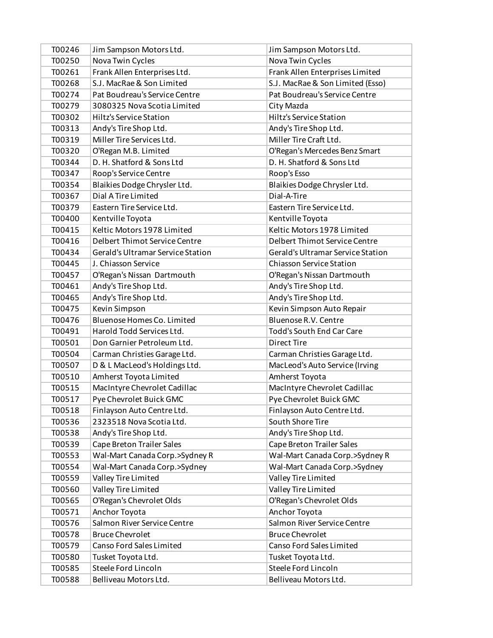| T00246 | Jim Sampson Motors Ltd.           | Jim Sampson Motors Ltd.           |
|--------|-----------------------------------|-----------------------------------|
| T00250 | Nova Twin Cycles                  | Nova Twin Cycles                  |
| T00261 | Frank Allen Enterprises Ltd.      | Frank Allen Enterprises Limited   |
| T00268 | S.J. MacRae & Son Limited         | S.J. MacRae & Son Limited (Esso)  |
| T00274 | Pat Boudreau's Service Centre     | Pat Boudreau's Service Centre     |
| T00279 | 3080325 Nova Scotia Limited       | City Mazda                        |
| T00302 | <b>Hiltz's Service Station</b>    | <b>Hiltz's Service Station</b>    |
| T00313 | Andy's Tire Shop Ltd.             | Andy's Tire Shop Ltd.             |
| T00319 | Miller Tire Services Ltd.         | Miller Tire Craft Ltd.            |
| T00320 | O'Regan M.B. Limited              | O'Regan's Mercedes Benz Smart     |
| T00344 | D. H. Shatford & Sons Ltd         | D. H. Shatford & Sons Ltd         |
| T00347 | Roop's Service Centre             | Roop's Esso                       |
| T00354 | Blaikies Dodge Chrysler Ltd.      | Blaikies Dodge Chrysler Ltd.      |
| T00367 | Dial A Tire Limited               | Dial-A-Tire                       |
| T00379 | Eastern Tire Service Ltd.         | Eastern Tire Service Ltd.         |
| T00400 | Kentville Toyota                  | Kentville Toyota                  |
| T00415 | Keltic Motors 1978 Limited        | Keltic Motors 1978 Limited        |
| T00416 | Delbert Thimot Service Centre     | Delbert Thimot Service Centre     |
| T00434 | Gerald's Ultramar Service Station | Gerald's Ultramar Service Station |
| T00445 | J. Chiasson Service               | <b>Chiasson Service Station</b>   |
| T00457 | O'Regan's Nissan Dartmouth        | O'Regan's Nissan Dartmouth        |
| T00461 | Andy's Tire Shop Ltd.             | Andy's Tire Shop Ltd.             |
| T00465 | Andy's Tire Shop Ltd.             | Andy's Tire Shop Ltd.             |
| T00475 | Kevin Simpson                     | Kevin Simpson Auto Repair         |
| T00476 | Bluenose Homes Co. Limited        | Bluenose R.V. Centre              |
| T00491 | Harold Todd Services Ltd.         | <b>Todd's South End Car Care</b>  |
| T00501 | Don Garnier Petroleum Ltd.        | <b>Direct Tire</b>                |
| T00504 | Carman Christies Garage Ltd.      | Carman Christies Garage Ltd.      |
| T00507 | D & L MacLeod's Holdings Ltd.     | MacLeod's Auto Service (Irving    |
| T00510 | Amherst Toyota Limited            | Amherst Toyota                    |
| T00515 | MacIntyre Chevrolet Cadillac      | MacIntyre Chevrolet Cadillac      |
| T00517 | Pye Chevrolet Buick GMC           | Pye Chevrolet Buick GMC           |
| T00518 | Finlayson Auto Centre Ltd.        | Finlayson Auto Centre Ltd.        |
| T00536 | 2323518 Nova Scotia Ltd.          | South Shore Tire                  |
| T00538 | Andy's Tire Shop Ltd.             | Andy's Tire Shop Ltd.             |
| T00539 | Cape Breton Trailer Sales         | Cape Breton Trailer Sales         |
| T00553 | Wal-Mart Canada Corp.>Sydney R    | Wal-Mart Canada Corp.>Sydney R    |
| T00554 | Wal-Mart Canada Corp.>Sydney      | Wal-Mart Canada Corp.>Sydney      |
| T00559 | Valley Tire Limited               | Valley Tire Limited               |
| T00560 | Valley Tire Limited               | Valley Tire Limited               |
| T00565 | O'Regan's Chevrolet Olds          | O'Regan's Chevrolet Olds          |
| T00571 | Anchor Toyota                     | Anchor Toyota                     |
| T00576 | Salmon River Service Centre       | Salmon River Service Centre       |
| T00578 | <b>Bruce Chevrolet</b>            | <b>Bruce Chevrolet</b>            |
| T00579 | Canso Ford Sales Limited          | Canso Ford Sales Limited          |
| T00580 | Tusket Toyota Ltd.                | Tusket Toyota Ltd.                |
| T00585 | Steele Ford Lincoln               | Steele Ford Lincoln               |
| T00588 | Belliveau Motors Ltd.             | Belliveau Motors Ltd.             |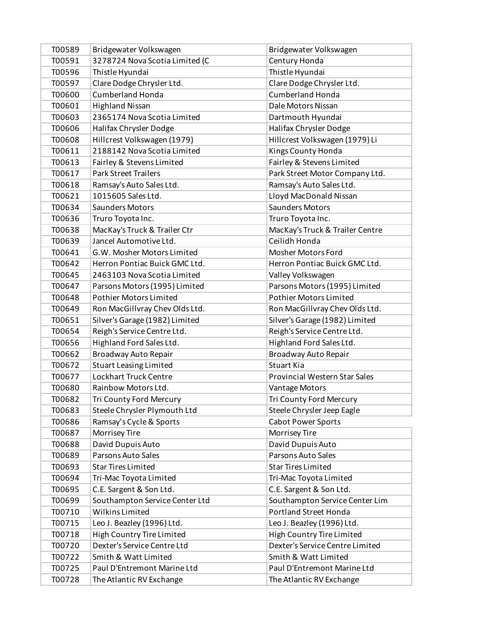| T00589 | Bridgewater Volkswagen         | Bridgewater Volkswagen               |
|--------|--------------------------------|--------------------------------------|
| T00591 | 3278724 Nova Scotia Limited (C | Century Honda                        |
| T00596 | Thistle Hyundai                | Thistle Hyundai                      |
| T00597 | Clare Dodge Chrysler Ltd.      | Clare Dodge Chrysler Ltd.            |
| T00600 | <b>Cumberland Honda</b>        | <b>Cumberland Honda</b>              |
| T00601 | <b>Highland Nissan</b>         | Dale Motors Nissan                   |
| T00603 | 2365174 Nova Scotia Limited    | Dartmouth Hyundai                    |
| T00606 | Halifax Chrysler Dodge         | Halifax Chrysler Dodge               |
| T00608 | Hillcrest Volkswagen (1979)    | Hillcrest Volkswagen (1979) Li       |
| T00611 | 2188142 Nova Scotia Limited    | Kings County Honda                   |
| T00613 | Fairley & Stevens Limited      | Fairley & Stevens Limited            |
| T00617 | <b>Park Street Trailers</b>    | Park Street Motor Company Ltd.       |
| T00618 | Ramsay's Auto Sales Ltd.       | Ramsay's Auto Sales Ltd.             |
| T00621 | 1015605 Sales Ltd.             | Lloyd MacDonald Nissan               |
| T00634 | <b>Saunders Motors</b>         | <b>Saunders Motors</b>               |
| T00636 | Truro Toyota Inc.              | Truro Toyota Inc.                    |
| T00638 | MacKay's Truck & Trailer Ctr   | MacKay's Truck & Trailer Centre      |
| T00639 | Jancel Automotive Ltd.         | Ceilidh Honda                        |
| T00641 | G.W. Mosher Motors Limited     | <b>Mosher Motors Ford</b>            |
| T00642 | Herron Pontiac Buick GMC Ltd.  | Herron Pontiac Buick GMC Ltd.        |
| T00645 | 2463103 Nova Scotia Limited    | Valley Volkswagen                    |
| T00647 | Parsons Motors (1995) Limited  | Parsons Motors (1995) Limited        |
| T00648 | <b>Pothier Motors Limited</b>  | <b>Pothier Motors Limited</b>        |
| T00649 | Ron MacGillvray Chev Olds Ltd. | Ron MacGillvray Chev Olds Ltd.       |
| T00651 | Silver's Garage (1982) Limited | Silver's Garage (1982) Limited       |
| T00654 | Reigh's Service Centre Ltd.    | Reigh's Service Centre Ltd.          |
| T00656 | Highland Ford Sales Ltd.       | Highland Ford Sales Ltd.             |
| T00662 | Broadway Auto Repair           | Broadway Auto Repair                 |
| T00672 | <b>Stuart Leasing Limited</b>  | Stuart Kia                           |
| T00677 | <b>Lockhart Truck Centre</b>   | <b>Provincial Western Star Sales</b> |
| T00680 | Rainbow Motors Ltd.            | Vantage Motors                       |
| T00682 | Tri County Ford Mercury        | Tri County Ford Mercury              |
| T00683 | Steele Chrysler Plymouth Ltd   | Steele Chrysler Jeep Eagle           |
| T00686 | Ramsay's Cycle & Sports        | <b>Cabot Power Sports</b>            |
| T00687 | Morrisey Tire                  | Morrisey Tire                        |
| T00688 | David Dupuis Auto              | David Dupuis Auto                    |
| T00689 | Parsons Auto Sales             | Parsons Auto Sales                   |
| T00693 | <b>Star Tires Limited</b>      | <b>Star Tires Limited</b>            |
| T00694 | Tri-Mac Toyota Limited         | Tri-Mac Toyota Limited               |
| T00695 | C.E. Sargent & Son Ltd.        | C.E. Sargent & Son Ltd.              |
| T00699 | Southampton Service Center Ltd | Southampton Service Center Lim       |
| T00710 | Wilkins Limited                | <b>Portland Street Honda</b>         |
| T00715 | Leo J. Beazley (1996) Ltd.     | Leo J. Beazley (1996) Ltd.           |
| T00718 | High Country Tire Limited      | High Country Tire Limited            |
| T00720 | Dexter's Service Centre Ltd    | Dexter's Service Centre Limited      |
| T00722 | Smith & Watt Limited           | Smith & Watt Limited                 |
| T00725 | Paul D'Entremont Marine Ltd    | Paul D'Entremont Marine Ltd          |
| T00728 | The Atlantic RV Exchange       | The Atlantic RV Exchange             |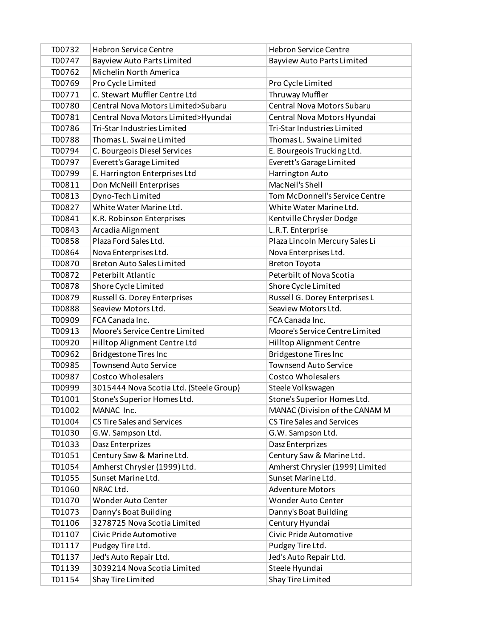| T00732 | <b>Hebron Service Centre</b>            | <b>Hebron Service Centre</b>      |
|--------|-----------------------------------------|-----------------------------------|
| T00747 | <b>Bayview Auto Parts Limited</b>       | <b>Bayview Auto Parts Limited</b> |
| T00762 | Michelin North America                  |                                   |
| T00769 | Pro Cycle Limited                       | Pro Cycle Limited                 |
| T00771 | C. Stewart Muffler Centre Ltd           | Thruway Muffler                   |
| T00780 | Central Nova Motors Limited>Subaru      | Central Nova Motors Subaru        |
| T00781 | Central Nova Motors Limited>Hyundai     | Central Nova Motors Hyundai       |
| T00786 | Tri-Star Industries Limited             | Tri-Star Industries Limited       |
| T00788 | Thomas L. Swaine Limited                | Thomas L. Swaine Limited          |
| T00794 | C. Bourgeois Diesel Services            | E. Bourgeois Trucking Ltd.        |
| T00797 | Everett's Garage Limited                | Everett's Garage Limited          |
| T00799 | E. Harrington Enterprises Ltd           | Harrington Auto                   |
| T00811 | Don McNeill Enterprises                 | MacNeil's Shell                   |
| T00813 | Dyno-Tech Limited                       | Tom McDonnell's Service Centre    |
| T00827 | White Water Marine Ltd.                 | White Water Marine Ltd.           |
| T00841 | K.R. Robinson Enterprises               | Kentville Chrysler Dodge          |
| T00843 | Arcadia Alignment                       | L.R.T. Enterprise                 |
| T00858 | Plaza Ford Sales Ltd.                   | Plaza Lincoln Mercury Sales Li    |
| T00864 | Nova Enterprises Ltd.                   | Nova Enterprises Ltd.             |
| T00870 | <b>Breton Auto Sales Limited</b>        | <b>Breton Toyota</b>              |
| T00872 | Peterbilt Atlantic                      | Peterbilt of Nova Scotia          |
| T00878 | Shore Cycle Limited                     | Shore Cycle Limited               |
| T00879 | Russell G. Dorey Enterprises            | Russell G. Dorey Enterprises L    |
| T00888 | Seaview Motors Ltd.                     | Seaview Motors Ltd.               |
| T00909 | FCA Canada Inc.                         | FCA Canada Inc.                   |
| T00913 | Moore's Service Centre Limited          | Moore's Service Centre Limited    |
| T00920 | Hilltop Alignment Centre Ltd            | Hilltop Alignment Centre          |
| T00962 | <b>Bridgestone Tires Inc</b>            | <b>Bridgestone Tires Inc</b>      |
| T00985 | <b>Townsend Auto Service</b>            | <b>Townsend Auto Service</b>      |
| T00987 | <b>Costco Wholesalers</b>               | <b>Costco Wholesalers</b>         |
| T00999 | 3015444 Nova Scotia Ltd. (Steele Group) | Steele Volkswagen                 |
| T01001 | Stone's Superior Homes Ltd.             | Stone's Superior Homes Ltd.       |
| T01002 | MANAC Inc.                              | MANAC (Division of the CANAM M    |
| T01004 | <b>CS Tire Sales and Services</b>       | <b>CS Tire Sales and Services</b> |
| T01030 | G.W. Sampson Ltd.                       | G.W. Sampson Ltd.                 |
| T01033 | Dasz Enterprizes                        | Dasz Enterprizes                  |
| T01051 | Century Saw & Marine Ltd.               | Century Saw & Marine Ltd.         |
| T01054 | Amherst Chrysler (1999) Ltd.            | Amherst Chrysler (1999) Limited   |
| T01055 | Sunset Marine Ltd.                      | Sunset Marine Ltd.                |
| T01060 | NRAC Ltd.                               | <b>Adventure Motors</b>           |
| T01070 | <b>Wonder Auto Center</b>               | Wonder Auto Center                |
| T01073 | Danny's Boat Building                   | Danny's Boat Building             |
| T01106 | 3278725 Nova Scotia Limited             | Century Hyundai                   |
| T01107 | Civic Pride Automotive                  | Civic Pride Automotive            |
| T01117 | Pudgey Tire Ltd.                        | Pudgey Tire Ltd.                  |
| T01137 | Jed's Auto Repair Ltd.                  | Jed's Auto Repair Ltd.            |
| T01139 | 3039214 Nova Scotia Limited             | Steele Hyundai                    |
| T01154 | Shay Tire Limited                       | Shay Tire Limited                 |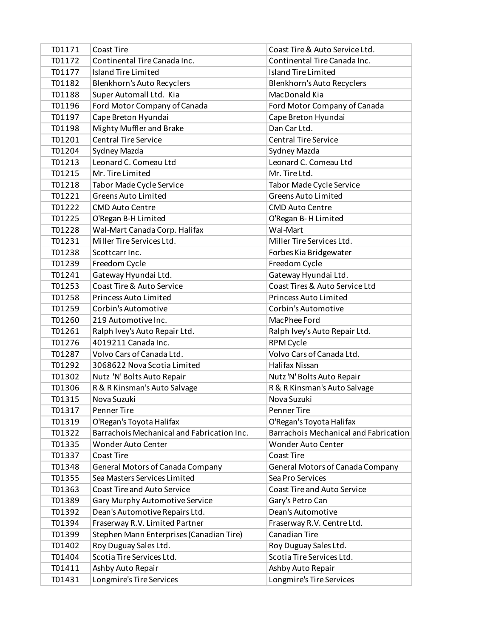| T01171 | <b>Coast Tire</b>                          | Coast Tire & Auto Service Ltd.        |
|--------|--------------------------------------------|---------------------------------------|
| T01172 | Continental Tire Canada Inc.               | Continental Tire Canada Inc.          |
| T01177 | Island Tire Limited                        | Island Tire Limited                   |
| T01182 | Blenkhorn's Auto Recyclers                 | Blenkhorn's Auto Recyclers            |
| T01188 | Super Automall Ltd. Kia                    | MacDonald Kia                         |
| T01196 | Ford Motor Company of Canada               | Ford Motor Company of Canada          |
| T01197 | Cape Breton Hyundai                        | Cape Breton Hyundai                   |
| T01198 | Mighty Muffler and Brake                   | Dan Car Ltd.                          |
| T01201 | <b>Central Tire Service</b>                | <b>Central Tire Service</b>           |
| T01204 | Sydney Mazda                               | Sydney Mazda                          |
| T01213 | Leonard C. Comeau Ltd                      | Leonard C. Comeau Ltd                 |
| T01215 | Mr. Tire Limited                           | Mr. Tire Ltd.                         |
| T01218 | Tabor Made Cycle Service                   | Tabor Made Cycle Service              |
| T01221 | <b>Greens Auto Limited</b>                 | <b>Greens Auto Limited</b>            |
| T01222 | <b>CMD Auto Centre</b>                     | <b>CMD Auto Centre</b>                |
| T01225 | O'Regan B-H Limited                        | O'Regan B-H Limited                   |
| T01228 | Wal-Mart Canada Corp. Halifax              | Wal-Mart                              |
| T01231 | Miller Tire Services Ltd.                  | Miller Tire Services Ltd.             |
| T01238 | Scottcarr Inc.                             | Forbes Kia Bridgewater                |
| T01239 | Freedom Cycle                              | Freedom Cycle                         |
| T01241 | Gateway Hyundai Ltd.                       | Gateway Hyundai Ltd.                  |
| T01253 | Coast Tire & Auto Service                  | Coast Tires & Auto Service Ltd        |
| T01258 | <b>Princess Auto Limited</b>               | Princess Auto Limited                 |
| T01259 | Corbin's Automotive                        | Corbin's Automotive                   |
| T01260 | 219 Automotive Inc.                        | MacPhee Ford                          |
| T01261 | Ralph Ivey's Auto Repair Ltd.              | Ralph Ivey's Auto Repair Ltd.         |
| T01276 | 4019211 Canada Inc.                        | RPM Cycle                             |
| T01287 | Volvo Cars of Canada Ltd.                  | Volvo Cars of Canada Ltd.             |
| T01292 | 3068622 Nova Scotia Limited                | Halifax Nissan                        |
| T01302 | Nutz 'N' Bolts Auto Repair                 | Nutz 'N' Bolts Auto Repair            |
| T01306 | R & R Kinsman's Auto Salvage               | R & R Kinsman's Auto Salvage          |
| T01315 | Nova Suzuki                                | Nova Suzuki                           |
| T01317 | <b>Penner Tire</b>                         | <b>Penner Tire</b>                    |
| T01319 | O'Regan's Toyota Halifax                   | O'Regan's Toyota Halifax              |
| T01322 | Barrachois Mechanical and Fabrication Inc. | Barrachois Mechanical and Fabrication |
| T01335 | <b>Wonder Auto Center</b>                  | <b>Wonder Auto Center</b>             |
| T01337 | Coast Tire                                 | Coast Tire                            |
| T01348 | General Motors of Canada Company           | General Motors of Canada Company      |
| T01355 | Sea Masters Services Limited               | Sea Pro Services                      |
| T01363 | <b>Coast Tire and Auto Service</b>         | <b>Coast Tire and Auto Service</b>    |
| T01389 | Gary Murphy Automotive Service             | Gary's Petro Can                      |
| T01392 | Dean's Automotive Repairs Ltd.             | Dean's Automotive                     |
| T01394 | Fraserway R.V. Limited Partner             | Fraserway R.V. Centre Ltd.            |
| T01399 | Stephen Mann Enterprises (Canadian Tire)   | Canadian Tire                         |
| T01402 | Roy Duguay Sales Ltd.                      | Roy Duguay Sales Ltd.                 |
| T01404 | Scotia Tire Services Ltd.                  | Scotia Tire Services Ltd.             |
| T01411 | Ashby Auto Repair                          | Ashby Auto Repair                     |
| T01431 | Longmire's Tire Services                   | Longmire's Tire Services              |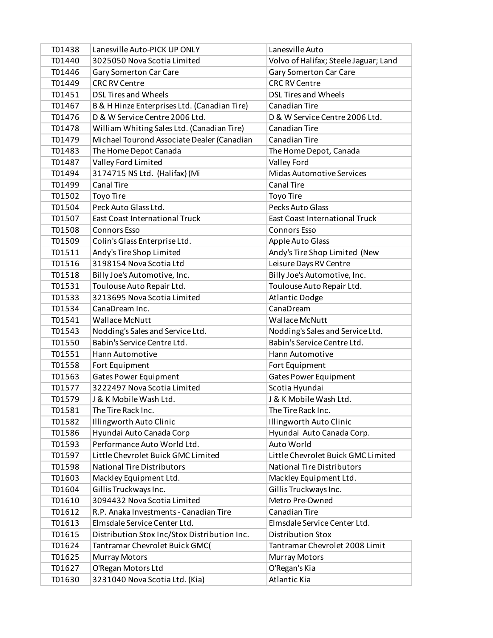| T01438 | Lanesville Auto-PICK UP ONLY                 | Lanesville Auto                       |
|--------|----------------------------------------------|---------------------------------------|
| T01440 | 3025050 Nova Scotia Limited                  | Volvo of Halifax; Steele Jaguar; Land |
| T01446 | Gary Somerton Car Care                       | <b>Gary Somerton Car Care</b>         |
| T01449 | <b>CRC RV Centre</b>                         | <b>CRC RV Centre</b>                  |
| T01451 | DSL Tires and Wheels                         | <b>DSL Tires and Wheels</b>           |
| T01467 | B & H Hinze Enterprises Ltd. (Canadian Tire) | Canadian Tire                         |
| T01476 | D & W Service Centre 2006 Ltd.               | D & W Service Centre 2006 Ltd.        |
| T01478 | William Whiting Sales Ltd. (Canadian Tire)   | Canadian Tire                         |
| T01479 | Michael Tourond Associate Dealer (Canadian   | <b>Canadian Tire</b>                  |
| T01483 | The Home Depot Canada                        | The Home Depot, Canada                |
| T01487 | Valley Ford Limited                          | Valley Ford                           |
| T01494 | 3174715 NS Ltd. (Halifax) (Mi                | Midas Automotive Services             |
| T01499 | <b>Canal Tire</b>                            | <b>Canal Tire</b>                     |
| T01502 | <b>Toyo Tire</b>                             | Toyo Tire                             |
| T01504 | Peck Auto Glass Ltd.                         | Pecks Auto Glass                      |
| T01507 | <b>East Coast International Truck</b>        | <b>East Coast International Truck</b> |
| T01508 | <b>Connors Esso</b>                          | <b>Connors Esso</b>                   |
| T01509 | Colin's Glass Enterprise Ltd.                | Apple Auto Glass                      |
| T01511 | Andy's Tire Shop Limited                     | Andy's Tire Shop Limited (New         |
| T01516 | 3198154 Nova Scotia Ltd                      | Leisure Days RV Centre                |
| T01518 | Billy Joe's Automotive, Inc.                 | Billy Joe's Automotive, Inc.          |
| T01531 | Toulouse Auto Repair Ltd.                    | Toulouse Auto Repair Ltd.             |
| T01533 | 3213695 Nova Scotia Limited                  | <b>Atlantic Dodge</b>                 |
| T01534 | CanaDream Inc.                               | CanaDream                             |
| T01541 | <b>Wallace McNutt</b>                        | <b>Wallace McNutt</b>                 |
| T01543 | Nodding's Sales and Service Ltd.             | Nodding's Sales and Service Ltd.      |
| T01550 | Babin's Service Centre Ltd.                  | Babin's Service Centre Ltd.           |
| T01551 | Hann Automotive                              | Hann Automotive                       |
| T01558 | Fort Equipment                               | Fort Equipment                        |
| T01563 | <b>Gates Power Equipment</b>                 | <b>Gates Power Equipment</b>          |
| T01577 | 3222497 Nova Scotia Limited                  | Scotia Hyundai                        |
| T01579 | J & K Mobile Wash Ltd.                       | J & K Mobile Wash Ltd.                |
| T01581 | The Tire Rack Inc.                           | The Tire Rack Inc.                    |
| T01582 | Illingworth Auto Clinic                      | Illingworth Auto Clinic               |
| T01586 | Hyundai Auto Canada Corp                     | Hyundai Auto Canada Corp.             |
| T01593 | Performance Auto World Ltd.                  | Auto World                            |
| T01597 | Little Chevrolet Buick GMC Limited           | Little Chevrolet Buick GMC Limited    |
| T01598 | <b>National Tire Distributors</b>            | <b>National Tire Distributors</b>     |
| T01603 | Mackley Equipment Ltd.                       | Mackley Equipment Ltd.                |
| T01604 | Gillis Truckways Inc.                        | Gillis Truckways Inc.                 |
| T01610 | 3094432 Nova Scotia Limited                  | Metro Pre-Owned                       |
| T01612 | R.P. Anaka Investments - Canadian Tire       | Canadian Tire                         |
| T01613 | Elmsdale Service Center Ltd.                 | Elmsdale Service Center Ltd.          |
| T01615 | Distribution Stox Inc/Stox Distribution Inc. | <b>Distribution Stox</b>              |
| T01624 | Tantramar Chevrolet Buick GMC(               | Tantramar Chevrolet 2008 Limit        |
| T01625 | <b>Murray Motors</b>                         | <b>Murray Motors</b>                  |
| T01627 | O'Regan Motors Ltd                           | O'Regan's Kia                         |
| T01630 | 3231040 Nova Scotia Ltd. (Kia)               | Atlantic Kia                          |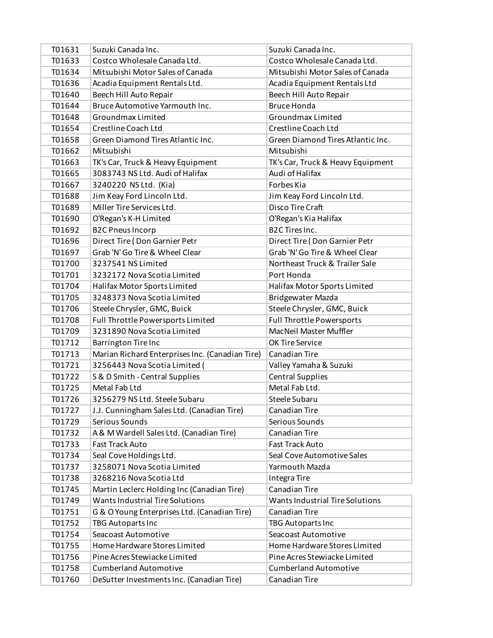| T01631 | Suzuki Canada Inc.                              | Suzuki Canada Inc.                |
|--------|-------------------------------------------------|-----------------------------------|
| T01633 | Costco Wholesale Canada Ltd.                    | Costco Wholesale Canada Ltd.      |
| T01634 | Mitsubishi Motor Sales of Canada                | Mitsubishi Motor Sales of Canada  |
| T01636 | Acadia Equipment Rentals Ltd.                   | Acadia Equipment Rentals Ltd      |
| T01640 | Beech Hill Auto Repair                          | Beech Hill Auto Repair            |
| T01644 | Bruce Automotive Yarmouth Inc.                  | <b>Bruce Honda</b>                |
| T01648 | Groundmax Limited                               | Groundmax Limited                 |
| T01654 | Crestline Coach Ltd                             | Crestline Coach Ltd               |
| T01658 | Green Diamond Tires Atlantic Inc.               | Green Diamond Tires Atlantic Inc. |
| T01662 | Mitsubishi                                      | Mitsubishi                        |
| T01663 | TK's Car, Truck & Heavy Equipment               | TK's Car, Truck & Heavy Equipment |
| T01665 | 3083743 NS Ltd. Audi of Halifax                 | Audi of Halifax                   |
| T01667 | 3240220 NS Ltd. (Kia)                           | Forbes Kia                        |
| T01688 | Jim Keay Ford Lincoln Ltd.                      | Jim Keay Ford Lincoln Ltd.        |
| T01689 | Miller Tire Services Ltd.                       | <b>Disco Tire Craft</b>           |
| T01690 | O'Regan's K-H Limited                           | O'Regan's Kia Halifax             |
| T01692 | <b>B2C Pneus Incorp</b>                         | <b>B2C Tires Inc.</b>             |
| T01696 | Direct Tire (Don Garnier Petr                   | Direct Tire (Don Garnier Petr     |
| T01697 | Grab 'N' Go Tire & Wheel Clear                  | Grab 'N' Go Tire & Wheel Clear    |
| T01700 | 3237541 NS Limited                              | Northeast Truck & Trailer Sale    |
| T01701 | 3232172 Nova Scotia Limited                     | Port Honda                        |
| T01704 | Halifax Motor Sports Limited                    | Halifax Motor Sports Limited      |
| T01705 | 3248373 Nova Scotia Limited                     | Bridgewater Mazda                 |
| T01706 | Steele Chrysler, GMC, Buick                     | Steele Chrysler, GMC, Buick       |
| T01708 | Full Throttle Powersports Limited               | <b>Full Throttle Powersports</b>  |
| T01709 | 3231890 Nova Scotia Limited                     | MacNeil Master Muffler            |
| T01712 | <b>Barrington Tire Inc</b>                      | OK Tire Service                   |
| T01713 | Marian Richard Enterprises Inc. (Canadian Tire) | Canadian Tire                     |
| T01721 | 3256443 Nova Scotia Limited (                   | Valley Yamaha & Suzuki            |
| T01722 | S & D Smith - Central Supplies                  | <b>Central Supplies</b>           |
| T01725 | Metal Fab Ltd                                   | Metal Fab Ltd.                    |
| T01726 | 3256279 NS Ltd. Steele Subaru                   | Steele Subaru                     |
| T01727 | J.J. Cunningham Sales Ltd. (Canadian Tire)      | Canadian Tire                     |
| T01729 | Serious Sounds                                  | Serious Sounds                    |
| T01732 | A & M Wardell Sales Ltd. (Canadian Tire)        | Canadian Tire                     |
| T01733 | Fast Track Auto                                 | <b>Fast Track Auto</b>            |
| T01734 | Seal Cove Holdings Ltd.                         | Seal Cove Automotive Sales        |
| T01737 | 3258071 Nova Scotia Limited                     | Yarmouth Mazda                    |
| T01738 | 3268216 Nova Scotia Ltd                         | Integra Tire                      |
| T01745 | Martin Leclerc Holding Inc (Canadian Tire)      | Canadian Tire                     |
| T01749 | Wants Industrial Tire Solutions                 | Wants Industrial Tire Solutions   |
| T01751 | G & O Young Enterprises Ltd. (Canadian Tire)    | Canadian Tire                     |
| T01752 | TBG Autoparts Inc                               | TBG Autoparts Inc                 |
| T01754 | Seacoast Automotive                             | Seacoast Automotive               |
| T01755 | Home Hardware Stores Limited                    | Home Hardware Stores Limited      |
| T01756 | Pine Acres Stewiacke Limited                    | Pine Acres Stewiacke Limited      |
| T01758 | <b>Cumberland Automotive</b>                    | <b>Cumberland Automotive</b>      |
| T01760 | DeSutter Investments Inc. (Canadian Tire)       | Canadian Tire                     |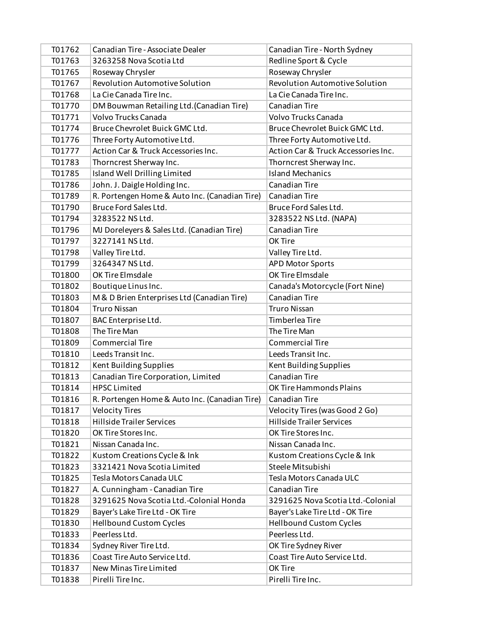| T01762 | Canadian Tire - Associate Dealer              | Canadian Tire - North Sydney          |
|--------|-----------------------------------------------|---------------------------------------|
| T01763 | 3263258 Nova Scotia Ltd                       | Redline Sport & Cycle                 |
| T01765 | Roseway Chrysler                              | Roseway Chrysler                      |
| T01767 | Revolution Automotive Solution                | <b>Revolution Automotive Solution</b> |
| T01768 | La Cie Canada Tire Inc.                       | La Cie Canada Tire Inc.               |
| T01770 | DM Bouwman Retailing Ltd. (Canadian Tire)     | Canadian Tire                         |
| T01771 | Volvo Trucks Canada                           | Volvo Trucks Canada                   |
| T01774 | Bruce Chevrolet Buick GMC Ltd.                | Bruce Chevrolet Buick GMC Ltd.        |
| T01776 | Three Forty Automotive Ltd.                   | Three Forty Automotive Ltd.           |
| T01777 | Action Car & Truck Accessories Inc.           | Action Car & Truck Accessories Inc.   |
| T01783 | Thorncrest Sherway Inc.                       | Thorncrest Sherway Inc.               |
| T01785 | Island Well Drilling Limited                  | <b>Island Mechanics</b>               |
| T01786 | John. J. Daigle Holding Inc.                  | Canadian Tire                         |
| T01789 | R. Portengen Home & Auto Inc. (Canadian Tire) | Canadian Tire                         |
| T01790 | Bruce Ford Sales Ltd.                         | Bruce Ford Sales Ltd.                 |
| T01794 | 3283522 NS Ltd.                               | 3283522 NS Ltd. (NAPA)                |
| T01796 | MJ Doreleyers & Sales Ltd. (Canadian Tire)    | Canadian Tire                         |
| T01797 | 3227141 NS Ltd.                               | OK Tire                               |
| T01798 | Valley Tire Ltd.                              | Valley Tire Ltd.                      |
| T01799 | 3264347 NS Ltd.                               | <b>APD Motor Sports</b>               |
| T01800 | OK Tire Elmsdale                              | OK Tire Elmsdale                      |
| T01802 | Boutique Linus Inc.                           | Canada's Motorcycle (Fort Nine)       |
| T01803 | M & D Brien Enterprises Ltd (Canadian Tire)   | Canadian Tire                         |
| T01804 | <b>Truro Nissan</b>                           | <b>Truro Nissan</b>                   |
| T01807 | BAC Enterprise Ltd.                           | Timberlea Tire                        |
| T01808 | The Tire Man                                  | The Tire Man                          |
| T01809 | <b>Commercial Tire</b>                        | <b>Commercial Tire</b>                |
| T01810 | Leeds Transit Inc.                            | Leeds Transit Inc.                    |
| T01812 | Kent Building Supplies                        | Kent Building Supplies                |
| T01813 | Canadian Tire Corporation, Limited            | <b>Canadian Tire</b>                  |
| T01814 | <b>HPSC Limited</b>                           | OK Tire Hammonds Plains               |
| T01816 | R. Portengen Home & Auto Inc. (Canadian Tire) | Canadian Tire                         |
| T01817 | <b>Velocity Tires</b>                         | Velocity Tires (was Good 2 Go)        |
| T01818 | <b>Hillside Trailer Services</b>              | <b>Hillside Trailer Services</b>      |
| T01820 | OK Tire Stores Inc.                           | OK Tire Stores Inc.                   |
| T01821 | Nissan Canada Inc.                            | Nissan Canada Inc.                    |
| T01822 | Kustom Creations Cycle & Ink                  | Kustom Creations Cycle & Ink          |
| T01823 | 3321421 Nova Scotia Limited                   | Steele Mitsubishi                     |
| T01825 | Tesla Motors Canada ULC                       | Tesla Motors Canada ULC               |
| T01827 | A. Cunningham - Canadian Tire                 | Canadian Tire                         |
| T01828 | 3291625 Nova Scotia Ltd.-Colonial Honda       | 3291625 Nova Scotia Ltd.-Colonial     |
| T01829 | Bayer's Lake Tire Ltd - OK Tire               | Bayer's Lake Tire Ltd - OK Tire       |
| T01830 | <b>Hellbound Custom Cycles</b>                | <b>Hellbound Custom Cycles</b>        |
| T01833 | Peerless Ltd.                                 | Peerless Ltd.                         |
| T01834 | Sydney River Tire Ltd.                        | OK Tire Sydney River                  |
| T01836 | Coast Tire Auto Service Ltd.                  | Coast Tire Auto Service Ltd.          |
| T01837 | New Minas Tire Limited                        | OK Tire                               |
| T01838 | Pirelli Tire Inc.                             | Pirelli Tire Inc.                     |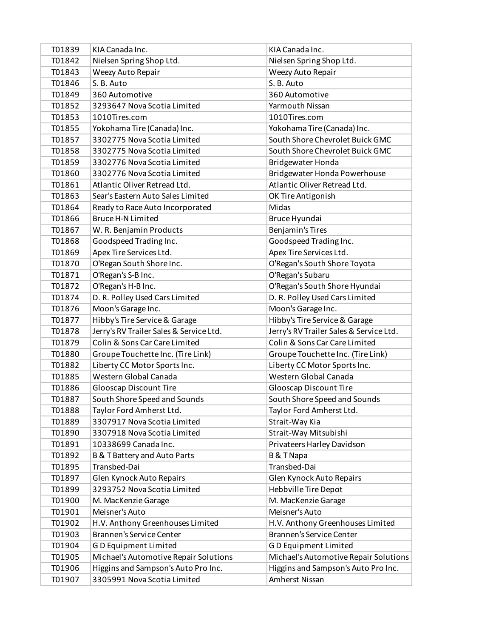| T01839 | KIA Canada Inc.                         | KIA Canada Inc.                         |
|--------|-----------------------------------------|-----------------------------------------|
| T01842 | Nielsen Spring Shop Ltd.                | Nielsen Spring Shop Ltd.                |
| T01843 | Weezy Auto Repair                       | Weezy Auto Repair                       |
| T01846 | S. B. Auto                              | S. B. Auto                              |
| T01849 | 360 Automotive                          | 360 Automotive                          |
| T01852 | 3293647 Nova Scotia Limited             | Yarmouth Nissan                         |
| T01853 | 1010Tires.com                           | 1010Tires.com                           |
| T01855 | Yokohama Tire (Canada) Inc.             | Yokohama Tire (Canada) Inc.             |
| T01857 | 3302775 Nova Scotia Limited             | South Shore Chevrolet Buick GMC         |
| T01858 | 3302775 Nova Scotia Limited             | South Shore Chevrolet Buick GMC         |
| T01859 | 3302776 Nova Scotia Limited             | Bridgewater Honda                       |
| T01860 | 3302776 Nova Scotia Limited             | Bridgewater Honda Powerhouse            |
| T01861 | Atlantic Oliver Retread Ltd.            | Atlantic Oliver Retread Ltd.            |
| T01863 | Sear's Eastern Auto Sales Limited       | OK Tire Antigonish                      |
| T01864 | Ready to Race Auto Incorporated         | Midas                                   |
| T01866 | <b>Bruce H-N Limited</b>                | Bruce Hyundai                           |
| T01867 | W. R. Benjamin Products                 | Benjamin's Tires                        |
| T01868 | Goodspeed Trading Inc.                  | Goodspeed Trading Inc.                  |
| T01869 | Apex Tire Services Ltd.                 | Apex Tire Services Ltd.                 |
| T01870 | O'Regan South Shore Inc.                | O'Regan's South Shore Toyota            |
| T01871 | O'Regan's S-B Inc.                      | O'Regan's Subaru                        |
| T01872 | O'Regan's H-B Inc.                      | O'Regan's South Shore Hyundai           |
| T01874 | D. R. Polley Used Cars Limited          | D. R. Polley Used Cars Limited          |
| T01876 | Moon's Garage Inc.                      | Moon's Garage Inc.                      |
| T01877 | Hibby's Tire Service & Garage           | Hibby's Tire Service & Garage           |
| T01878 | Jerry's RV Trailer Sales & Service Ltd. | Jerry's RV Trailer Sales & Service Ltd. |
| T01879 | Colin & Sons Car Care Limited           | Colin & Sons Car Care Limited           |
| T01880 | Groupe Touchette Inc. (Tire Link)       | Groupe Touchette Inc. (Tire Link)       |
| T01882 | Liberty CC Motor Sports Inc.            | Liberty CC Motor Sports Inc.            |
| T01885 | Western Global Canada                   | Western Global Canada                   |
| T01886 | Glooscap Discount Tire                  | <b>Glooscap Discount Tire</b>           |
| T01887 | South Shore Speed and Sounds            | South Shore Speed and Sounds            |
| T01888 | Taylor Ford Amherst Ltd.                | Taylor Ford Amherst Ltd.                |
| T01889 | 3307917 Nova Scotia Limited             | Strait-Way Kia                          |
| T01890 | 3307918 Nova Scotia Limited             | Strait-Way Mitsubishi                   |
| T01891 | 10338699 Canada Inc.                    | Privateers Harley Davidson              |
| T01892 | <b>B &amp; T Battery and Auto Parts</b> | <b>B&amp;TNapa</b>                      |
| T01895 | Transbed-Dai                            | Transbed-Dai                            |
| T01897 | Glen Kynock Auto Repairs                | Glen Kynock Auto Repairs                |
| T01899 | 3293752 Nova Scotia Limited             | <b>Hebbville Tire Depot</b>             |
| T01900 | M. MacKenzie Garage                     | M. MacKenzie Garage                     |
| T01901 | Meisner's Auto                          | Meisner's Auto                          |
| T01902 | H.V. Anthony Greenhouses Limited        | H.V. Anthony Greenhouses Limited        |
| T01903 | <b>Brannen's Service Center</b>         | <b>Brannen's Service Center</b>         |
| T01904 | GD Equipment Limited                    | <b>GD</b> Equipment Limited             |
| T01905 | Michael's Automotive Repair Solutions   | Michael's Automotive Repair Solutions   |
| T01906 | Higgins and Sampson's Auto Pro Inc.     | Higgins and Sampson's Auto Pro Inc.     |
| T01907 | 3305991 Nova Scotia Limited             | Amherst Nissan                          |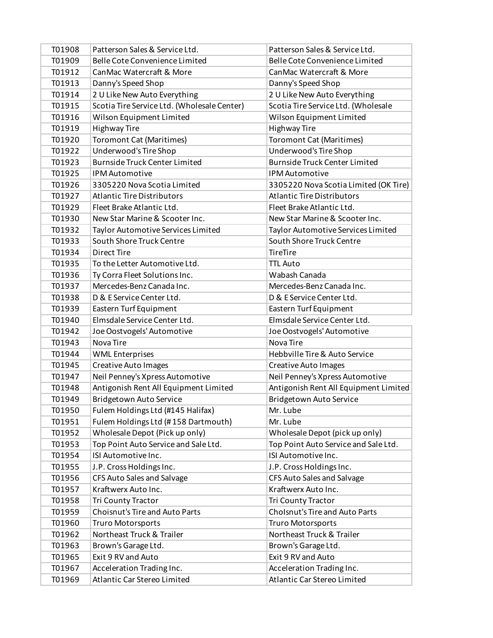| T01908 | Patterson Sales & Service Ltd.              | Patterson Sales & Service Ltd.        |
|--------|---------------------------------------------|---------------------------------------|
| T01909 | Belle Cote Convenience Limited              | Belle Cote Convenience Limited        |
| T01912 | CanMac Watercraft & More                    | CanMac Watercraft & More              |
| T01913 | Danny's Speed Shop                          | Danny's Speed Shop                    |
| T01914 | 2 U Like New Auto Everything                | 2 U Like New Auto Everything          |
| T01915 | Scotia Tire Service Ltd. (Wholesale Center) | Scotia Tire Service Ltd. (Wholesale   |
| T01916 | Wilson Equipment Limited                    | Wilson Equipment Limited              |
| T01919 | <b>Highway Tire</b>                         | <b>Highway Tire</b>                   |
| T01920 | <b>Toromont Cat (Maritimes)</b>             | <b>Toromont Cat (Maritimes)</b>       |
| T01922 | Underwood's Tire Shop                       | Underwood's Tire Shop                 |
| T01923 | <b>Burnside Truck Center Limited</b>        | <b>Burnside Truck Center Limited</b>  |
| T01925 | <b>IPM Automotive</b>                       | <b>IPM Automotive</b>                 |
| T01926 | 3305220 Nova Scotia Limited                 | 3305220 Nova Scotia Limited (OK Tire) |
| T01927 | <b>Atlantic Tire Distributors</b>           | <b>Atlantic Tire Distributors</b>     |
| T01929 | Fleet Brake Atlantic Ltd.                   | Fleet Brake Atlantic Ltd.             |
| T01930 | New Star Marine & Scooter Inc.              | New Star Marine & Scooter Inc.        |
| T01932 | Taylor Automotive Services Limited          | Taylor Automotive Services Limited    |
| T01933 | South Shore Truck Centre                    | South Shore Truck Centre              |
| T01934 | <b>Direct Tire</b>                          | TireTire                              |
| T01935 | To the Letter Automotive Ltd.               | <b>TTL Auto</b>                       |
| T01936 | Ty Corra Fleet Solutions Inc.               | Wabash Canada                         |
| T01937 | Mercedes-Benz Canada Inc.                   | Mercedes-Benz Canada Inc.             |
| T01938 | D & E Service Center Ltd.                   | D & E Service Center Ltd.             |
| T01939 | Eastern Turf Equipment                      | Eastern Turf Equipment                |
|        |                                             |                                       |
| T01940 | Elmsdale Service Center Ltd.                | Elmsdale Service Center Ltd.          |
| T01942 | Joe Oostvogels' Automotive                  | Joe Oostvogels' Automotive            |
| T01943 | Nova Tire                                   | Nova Tire                             |
| T01944 | <b>WML Enterprises</b>                      | Hebbville Tire & Auto Service         |
| T01945 | <b>Creative Auto Images</b>                 | Creative Auto Images                  |
| T01947 | Neil Penney's Xpress Automotive             | Neil Penney's Xpress Automotive       |
| T01948 | Antigonish Rent All Equipment Limited       | Antigonish Rent All Equipment Limited |
| T01949 | <b>Bridgetown Auto Service</b>              | <b>Bridgetown Auto Service</b>        |
| T01950 | Fulem Holdings Ltd (#145 Halifax)           | Mr. Lube                              |
| T01951 | Fulem Holdings Ltd (#158 Dartmouth)         | Mr. Lube                              |
| T01952 | Wholesale Depot (Pick up only)              | Wholesale Depot (pick up only)        |
| T01953 | Top Point Auto Service and Sale Ltd.        | Top Point Auto Service and Sale Ltd.  |
| T01954 | ISI Automotive Inc.                         | ISI Automotive Inc.                   |
| T01955 | J.P. Cross Holdings Inc.                    | J.P. Cross Holdings Inc.              |
| T01956 | CFS Auto Sales and Salvage                  | CFS Auto Sales and Salvage            |
| T01957 | Kraftwerx Auto Inc.                         | Kraftwerx Auto Inc.                   |
| T01958 | Tri County Tractor                          | Tri County Tractor                    |
| T01959 | Choisnut's Tire and Auto Parts              | <b>Cholsnut's Tire and Auto Parts</b> |
| T01960 | Truro Motorsports                           | <b>Truro Motorsports</b>              |
| T01962 | Northeast Truck & Trailer                   | Northeast Truck & Trailer             |
| T01963 | Brown's Garage Ltd.                         | Brown's Garage Ltd.                   |
| T01965 | Exit 9 RV and Auto                          | Exit 9 RV and Auto                    |
| T01967 | Acceleration Trading Inc.                   | Acceleration Trading Inc.             |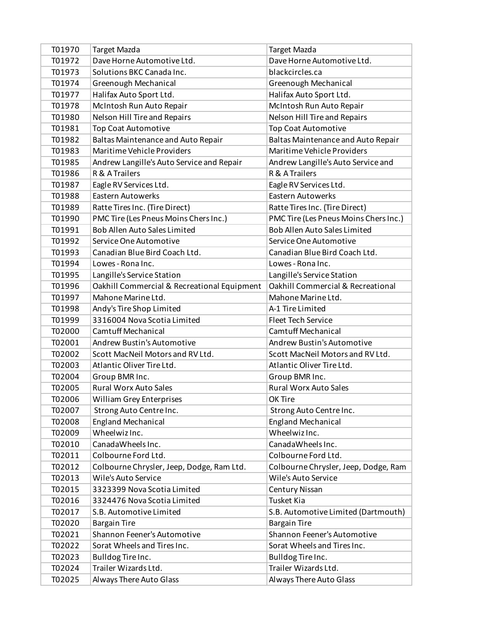| T01970 | Target Mazda                                | Target Mazda                          |
|--------|---------------------------------------------|---------------------------------------|
| T01972 | Dave Horne Automotive Ltd.                  | Dave Horne Automotive Ltd.            |
| T01973 | Solutions BKC Canada Inc.                   | blackcircles.ca                       |
| T01974 | Greenough Mechanical                        | Greenough Mechanical                  |
| T01977 | Halifax Auto Sport Ltd.                     | Halifax Auto Sport Ltd.               |
| T01978 | McIntosh Run Auto Repair                    | McIntosh Run Auto Repair              |
| T01980 | Nelson Hill Tire and Repairs                | Nelson Hill Tire and Repairs          |
| T01981 | <b>Top Coat Automotive</b>                  | <b>Top Coat Automotive</b>            |
| T01982 | <b>Baltas Maintenance and Auto Repair</b>   | Baltas Maintenance and Auto Repair    |
| T01983 | Maritime Vehicle Providers                  | Maritime Vehicle Providers            |
| T01985 | Andrew Langille's Auto Service and Repair   | Andrew Langille's Auto Service and    |
| T01986 | R & A Trailers                              | R & A Trailers                        |
| T01987 | Eagle RV Services Ltd.                      | Eagle RV Services Ltd.                |
| T01988 | <b>Eastern Autowerks</b>                    | <b>Eastern Autowerks</b>              |
| T01989 | Ratte Tires Inc. (Tire Direct)              | Ratte Tires Inc. (Tire Direct)        |
| T01990 | PMC Tire (Les Pneus Moins Chers Inc.)       | PMC Tire (Les Pneus Moins Chers Inc.) |
| T01991 | <b>Bob Allen Auto Sales Limited</b>         | <b>Bob Allen Auto Sales Limited</b>   |
| T01992 | Service One Automotive                      | Service One Automotive                |
| T01993 | Canadian Blue Bird Coach Ltd.               | Canadian Blue Bird Coach Ltd.         |
| T01994 | Lowes - Rona Inc.                           | Lowes - Rona Inc.                     |
| T01995 | Langille's Service Station                  | Langille's Service Station            |
| T01996 | Oakhill Commercial & Recreational Equipment | Oakhill Commercial & Recreational     |
| T01997 | Mahone Marine Ltd.                          | Mahone Marine Ltd.                    |
| T01998 | Andy's Tire Shop Limited                    | A-1 Tire Limited                      |
| T01999 | 3316004 Nova Scotia Limited                 | <b>Fleet Tech Service</b>             |
| T02000 | <b>Camtuff Mechanical</b>                   | <b>Camtuff Mechanical</b>             |
| T02001 | Andrew Bustin's Automotive                  | Andrew Bustin's Automotive            |
| T02002 | Scott MacNeil Motors and RV Ltd.            | Scott MacNeil Motors and RV Ltd.      |
| T02003 | Atlantic Oliver Tire Ltd.                   | Atlantic Oliver Tire Ltd.             |
| T02004 | Group BMR Inc.                              | Group BMR Inc.                        |
| T02005 | <b>Rural Worx Auto Sales</b>                | <b>Rural Worx Auto Sales</b>          |
| T02006 | <b>William Grey Enterprises</b>             | OK Tire                               |
| T02007 | Strong Auto Centre Inc.                     | Strong Auto Centre Inc.               |
| T02008 | <b>England Mechanical</b>                   | <b>England Mechanical</b>             |
| T02009 | Wheelwiz Inc.                               | Wheelwiz Inc.                         |
| T02010 | CanadaWheels Inc.                           | CanadaWheels Inc.                     |
| T02011 | Colbourne Ford Ltd.                         | Colbourne Ford Ltd.                   |
| T02012 | Colbourne Chrysler, Jeep, Dodge, Ram Ltd.   | Colbourne Chrysler, Jeep, Dodge, Ram  |
| T02013 | Wile's Auto Service                         | Wile's Auto Service                   |
| T02015 | 3323399 Nova Scotia Limited                 | <b>Century Nissan</b>                 |
| T02016 | 3324476 Nova Scotia Limited                 | Tusket Kia                            |
| T02017 | S.B. Automotive Limited                     | S.B. Automotive Limited (Dartmouth)   |
| T02020 | <b>Bargain Tire</b>                         | <b>Bargain Tire</b>                   |
| T02021 | Shannon Feener's Automotive                 | Shannon Feener's Automotive           |
| T02022 | Sorat Wheels and Tires Inc.                 | Sorat Wheels and Tires Inc.           |
| T02023 | Bulldog Tire Inc.                           | Bulldog Tire Inc.                     |
| T02024 | Trailer Wizards Ltd.                        | Trailer Wizards Ltd.                  |
| T02025 | Always There Auto Glass                     | Always There Auto Glass               |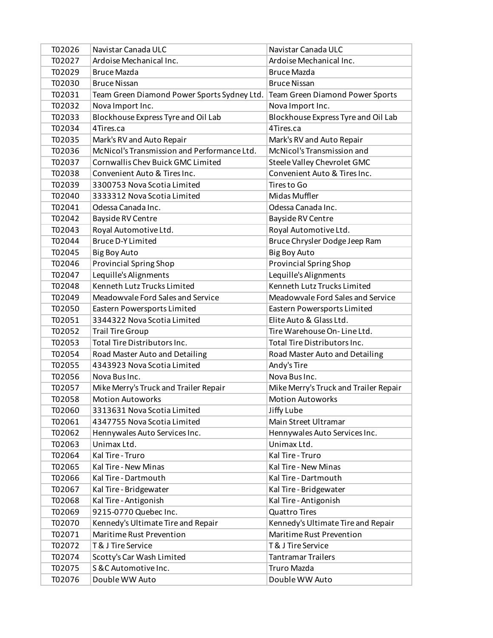| T02026 | Navistar Canada ULC                         | Navistar Canada ULC                   |
|--------|---------------------------------------------|---------------------------------------|
| T02027 | Ardoise Mechanical Inc.                     | Ardoise Mechanical Inc.               |
| T02029 | <b>Bruce Mazda</b>                          | <b>Bruce Mazda</b>                    |
| T02030 | <b>Bruce Nissan</b>                         | <b>Bruce Nissan</b>                   |
| T02031 | Team Green Diamond Power Sports Sydney Ltd. | Team Green Diamond Power Sports       |
| T02032 | Nova Import Inc.                            | Nova Import Inc.                      |
| T02033 | Blockhouse Express Tyre and Oil Lab         | Blockhouse Express Tyre and Oil Lab   |
| T02034 | 4Tires.ca                                   | 4Tires.ca                             |
| T02035 | Mark's RV and Auto Repair                   | Mark's RV and Auto Repair             |
| T02036 | McNicol's Transmission and Performance Ltd. | McNicol's Transmission and            |
| T02037 | Cornwallis Chev Buick GMC Limited           | Steele Valley Chevrolet GMC           |
| T02038 | Convenient Auto & Tires Inc.                | Convenient Auto & Tires Inc.          |
| T02039 | 3300753 Nova Scotia Limited                 | Tires to Go                           |
| T02040 | 3333312 Nova Scotia Limited                 | Midas Muffler                         |
| T02041 | Odessa Canada Inc.                          | Odessa Canada Inc.                    |
| T02042 | Bayside RV Centre                           | Bayside RV Centre                     |
| T02043 | Royal Automotive Ltd.                       | Royal Automotive Ltd.                 |
| T02044 | <b>Bruce D-Y Limited</b>                    | Bruce Chrysler Dodge Jeep Ram         |
| T02045 | Big Boy Auto                                | <b>Big Boy Auto</b>                   |
| T02046 | <b>Provincial Spring Shop</b>               | <b>Provincial Spring Shop</b>         |
| T02047 | Lequille's Alignments                       | Lequille's Alignments                 |
| T02048 | Kenneth Lutz Trucks Limited                 | Kenneth Lutz Trucks Limited           |
| T02049 | Meadowvale Ford Sales and Service           | Meadowvale Ford Sales and Service     |
| T02050 | Eastern Powersports Limited                 | Eastern Powersports Limited           |
| T02051 | 3344322 Nova Scotia Limited                 | Elite Auto & Glass Ltd.               |
| T02052 | <b>Trail Tire Group</b>                     | Tire Warehouse On-Line Ltd.           |
| T02053 | Total Tire Distributors Inc.                | Total Tire Distributors Inc.          |
| T02054 | Road Master Auto and Detailing              | Road Master Auto and Detailing        |
| T02055 | 4343923 Nova Scotia Limited                 | Andy's Tire                           |
| T02056 | Nova Bus Inc.                               | Nova Bus Inc.                         |
| T02057 | Mike Merry's Truck and Trailer Repair       | Mike Merry's Truck and Trailer Repair |
| T02058 | <b>Motion Autoworks</b>                     | <b>Motion Autoworks</b>               |
| T02060 | 3313631 Nova Scotia Limited                 | Jiffy Lube                            |
| T02061 | 4347755 Nova Scotia Limited                 | Main Street Ultramar                  |
| T02062 | Hennywales Auto Services Inc.               | Hennywales Auto Services Inc.         |
| T02063 | Unimax Ltd.                                 | Unimax Ltd.                           |
| T02064 | Kal Tire - Truro                            | Kal Tire - Truro                      |
| T02065 | Kal Tire - New Minas                        | Kal Tire - New Minas                  |
| T02066 | Kal Tire - Dartmouth                        | Kal Tire - Dartmouth                  |
| T02067 | Kal Tire - Bridgewater                      | Kal Tire - Bridgewater                |
| T02068 | Kal Tire - Antigonish                       | Kal Tire - Antigonish                 |
| T02069 | 9215-0770 Quebec Inc.                       | <b>Quattro Tires</b>                  |
| T02070 | Kennedy's Ultimate Tire and Repair          | Kennedy's Ultimate Tire and Repair    |
| T02071 | Maritime Rust Prevention                    | Maritime Rust Prevention              |
| T02072 | <b>T&amp; J Tire Service</b>                | T & J Tire Service                    |
| T02074 | Scotty's Car Wash Limited                   | <b>Tantramar Trailers</b>             |
| T02075 | S & C Automotive Inc.                       | Truro Mazda                           |
| T02076 | Double WW Auto                              | Double WW Auto                        |